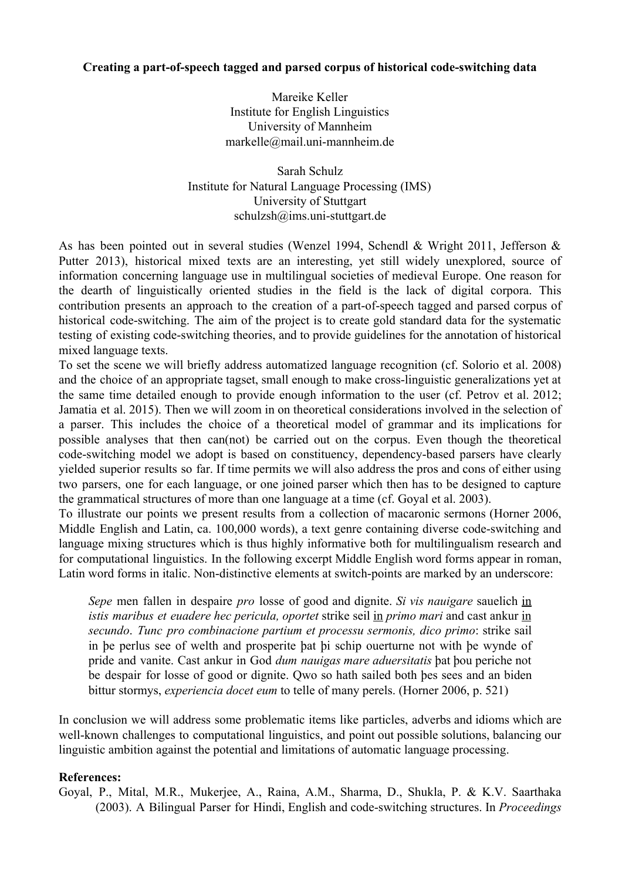## **Creating a part-of-speech tagged and parsed corpus of historical code-switching data**

Mareike Keller Institute for English Linguistics University of Mannheim  $marketlle@mail.uni-mannheim.de$ 

Sarah Schulz Institute for Natural Language Processing (IMS) University of Stuttgart schulzsh@ims.uni-stuttgart.de

As has been pointed out in several studies (Wenzel 1994, Schendl & Wright 2011, Jefferson & Putter 2013), historical mixed texts are an interesting, yet still widely unexplored, source of information concerning language use in multilingual societies of medieval Europe. One reason for the dearth of linguistically oriented studies in the field is the lack of digital corpora. This contribution presents an approach to the creation of a part-of-speech tagged and parsed corpus of historical code-switching. The aim of the project is to create gold standard data for the systematic testing of existing code-switching theories, and to provide guidelines for the annotation of historical mixed language texts.

To set the scene we will briefly address automatized language recognition (cf. Solorio et al. 2008) and the choice of an appropriate tagset, small enough to make cross-linguistic generalizations yet at the same time detailed enough to provide enough information to the user (cf. Petrov et al. 2012; Jamatia et al. 2015). Then we will zoom in on theoretical considerations involved in the selection of a parser. This includes the choice of a theoretical model of grammar and its implications for possible analyses that then can(not) be carried out on the corpus. Even though the theoretical code-switching model we adopt is based on constituency, dependency-based parsers have clearly yielded superior results so far. If time permits we will also address the pros and cons of either using two parsers, one for each language, or one joined parser which then has to be designed to capture the grammatical structures of more than one language at a time (cf. Goyal et al. 2003).

To illustrate our points we present results from a collection of macaronic sermons (Horner 2006, Middle English and Latin, ca. 100,000 words), a text genre containing diverse code-switching and language mixing structures which is thus highly informative both for multilingualism research and for computational linguistics. In the following excerpt Middle English word forms appear in roman, Latin word forms in italic. Non-distinctive elements at switch-points are marked by an underscore:

*Sepe* men fallen in despaire *pro* losse of good and dignite. *Si vis nauigare* sauelich in *istis maribus et euadere hec pericula, oportet* strike seil in *primo mari* and cast ankur in *secundo*. *Tunc pro combinacione partium et processu sermonis, dico primo*: strike sail in þe perlus see of welth and prosperite þat þi schip ouerturne not with þe wynde of pride and vanite. Cast ankur in God *dum nauigas mare aduersitatis* þat þou periche not be despair for losse of good or dignite. Qwo so hath sailed both þes sees and an biden bittur stormys, *experiencia docet eum* to telle of many perels. (Horner 2006, p. 521)

In conclusion we will address some problematic items like particles, adverbs and idioms which are well-known challenges to computational linguistics, and point out possible solutions, balancing our linguistic ambition against the potential and limitations of automatic language processing.

## **References:**

Goyal, P., Mital, M.R., Mukerjee, A., Raina, A.M., Sharma, D., Shukla, P. & K.V. Saarthaka (2003). A Bilingual Parser for Hindi, English and codeswitching structures. In *Proceedings*